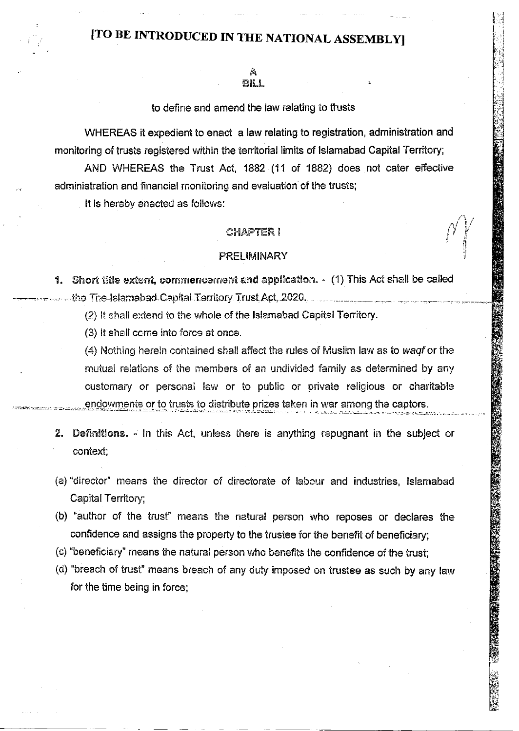# [TO BE INTRODUCED IN THE NATIONAL ASSEMBLY]

# to define and amend the law relating to trusts

WHEREAS it expedient to enact a law relating to registration, administration and monitoring of trusts registered within the territorial limits of Islamabad Capital Territory;

AND WHEREAS the Trust Act, 1882 (11 of 1882) does not cater effective administration and financial monitoring and evaluation of the trusts;

It is hereby enacted as follows:

# **CHAPTER I**

### PRELIMINARY

1. Short title extent, commencement and application. - (1) This Act shall be called the The Islamabad Capital Territory Trust Act, 2020.

(2) It shall extend to the whole of the Islamabad Capital Territory.

(3) It shall come into force at once.

(4) Nothing herein contained shall affect the rules of Muslim law as to wagf or the mutual relations of the members of an undivided family as determined by any customary or personal law or to public or private religious or charitable endowments or to trusts to distribute prizes taken in war among the captors.

- 2. Definitions. In this Act, unless there is anything repugnant in the subject or context;
- (a) "director" means the director of directorate of labour and industries, Islamabad Capital Territory;
- (b) "author of the trust" means the natural person who reposes or declares the confidence and assigns the property to the trustee for the benefit of beneficiary;
- (c) "beneficiary" means the natural person who benefits the confidence of the trust;
- (d) "breach of trust" means breach of any duty imposed on trustee as such by any law for the time being in force;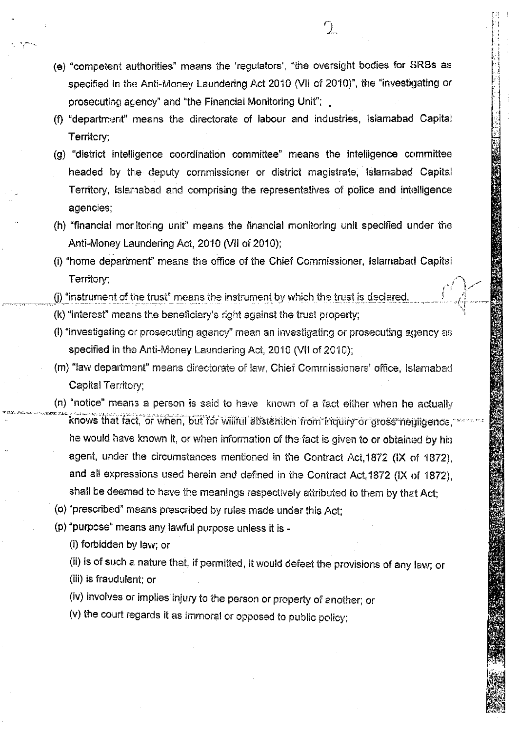- (e) "competent authorities" means the 'regulators', "the oversight bodies for SRBs as specified in the Anti-Money Laundering Act 2010 (VII of 2010)", the "investigating or prosecuting acency" and "the Financial Monitoring Unit";
- (f) "department" means the directorate of labour and industries, Islamabad Capital Territory;
- (g) "district intelligence coordination committee" means the intelligence committee headed by the deputy commissioner or district magistrate, Islamabad Capital Territory, Islamabad and comprising the representatives of police and intelligence agencies;
- (h) "financial monitoring unit" means the financial monitoring unit specified under the Anti-Money Laundering Act, 2010 (VII of 2010);
- (i) "home department" means the office of the Chief Commissioner, Islamabad Capital Territory;
- (i) "instrument of the trust" means the instrument by which the trust is declared
- (k) "interest" means the beneficiary's right against the trust property;
- (I) "investigating or prosecuting agency" mean an investigating or prosecuting agency as specified in the Anti-Money Laundering Act, 2010 (VII of 2010);
- (m) "law department" means directorate of law, Chief Commissioners' office, Islamabad Capital Territory:
- (n) "notice" means a person is said to have known of a fact either when he actually knows that fact, or when, but for willful abstantion from inquiry or gross neuligence. he would have known it, or when information of the fact is given to or obtained by his agent, under the circumstances mentioned in the Contract Act, 1872 (IX of 1872). and all expressions used herein and defined in the Contract Act, 1872 (IX of 1872), shall be deemed to have the meanings respectively attributed to them by that Act;
- (o) "prescribed" means prescribed by rules made under this Act;
- (p) "purpose" means any lawful purpose unless it is -
	- (i) forbidden by law; or
	- (ii) is of such a nature that, if permitted, it would defeat the provisions of any law; or
	- (iii) is fraudulent; or
	- (iv) involves or implies injury to the person or property of another; or
	- (v) the court regards it as immoral or opposed to public policy;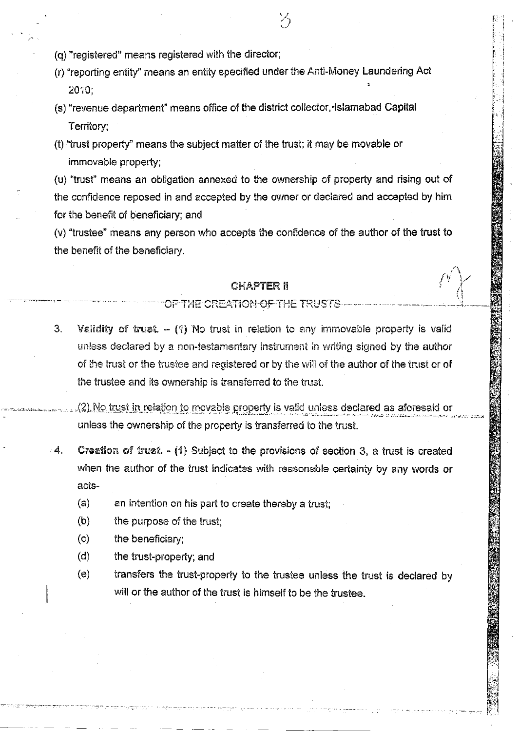- (q) "registered" means registered with the director;
- (r) "reporting entity" means an entity specified under the Anti-Money Laundering Act 2010:
- (s) "revenue department" means office of the district collector, islamabad Capital Territory:
- (t) "trust property" means the subject matter of the trust; it may be movable or immovable property;

(u) "trust" means an obligation annexed to the ownership of property and rising out of the confidence reposed in and accepted by the owner or declared and accepted by him for the benefit of beneficiary; and

(v) "trustee" means any person who accepts the confidence of the author of the trust to the benefit of the beneficiary.

# **CHAPTER 11**

OF THE CREATION OF THE TRUSTS

 $3<sub>1</sub>$ Validity of trust.  $-$  (1) No trust in relation to any immovable property is valid unless declared by a non-testamentary instrument in writing signed by the author of the trust or the trustee and registered or by the will of the author of the trust or of the trustee and its ownership is transferred to the trust.

(2) No trust in relation to movable property is valid unless declared as aforesaid or unless the ownership of the property is transferred to the trust.

- $\boldsymbol{A}_{\cdot}$ Creation of trust. - (1) Subject to the provisions of section 3, a trust is created when the author of the trust indicates with reasonable certainty by any words or acts-
	- (a) an intention on his part to create thereby a trust;
	- the purpose of the trust;  $(b)$
	- $\left( \mathbf{c} \right)$ the beneficiary;
	- $(d)$ the trust-property; and
	- $(e)$ transfers the trust-property to the trustee unless the trust is declared by will or the author of the trust is himself to be the trustee.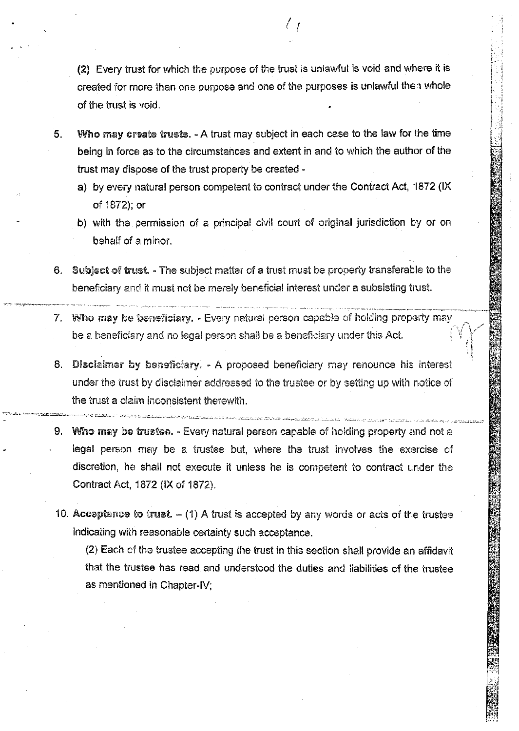(2) Every trust for which the purpose of the trust is unlawful is void and where it is created for more than one purpose and one of the purposes is unlawful then whole of the trust is void.

- Who may create trusts. A trust may subject in each case to the law for the time 5. being in force as to the circumstances and extent in and to which the author of the trust may dispose of the trust property be created
	- a) by every natural person competent to contract under the Contract Act, 1872 (IX of 1872); or
	- b) with the permission of a principal civil court of original jurisdiction by or on behalf of a minor.
- 6. Subject of trust. The subject matter of a trust must be property transferable to the beneficiary and it must not be merely beneficial interest under a subsisting trust.
- 7. Who may be beneficiary. Every natural person capable of holding property may be a beneficiary and no legal person shall be a beneficiary under this Act.
- 8. Disclaimer by beneficiary. A proposed beneficiary may renounce his interest under the trust by disclaimer addressed to the trustee or by setting up with notice of the trust a claim inconsistent therewith.
- 9. Who may be trustee. Every natural person capable of holding property and not a legal person may be a trustee but, where the trust involves the exercise of discretion, he shall not execute it unless he is competent to contract under the Contract Act, 1872 (IX of 1872).
- 10. Acceptance to trust.  $-$  (1) A trust is accepted by any words or acts of the trustee indicating with reasonable certainty such acceptance.

(2) Each of the trustee accepting the trust in this section shall provide an affidavit that the trustee has read and understood the duties and liabilities of the trustee as mentioned in Chapter-IV;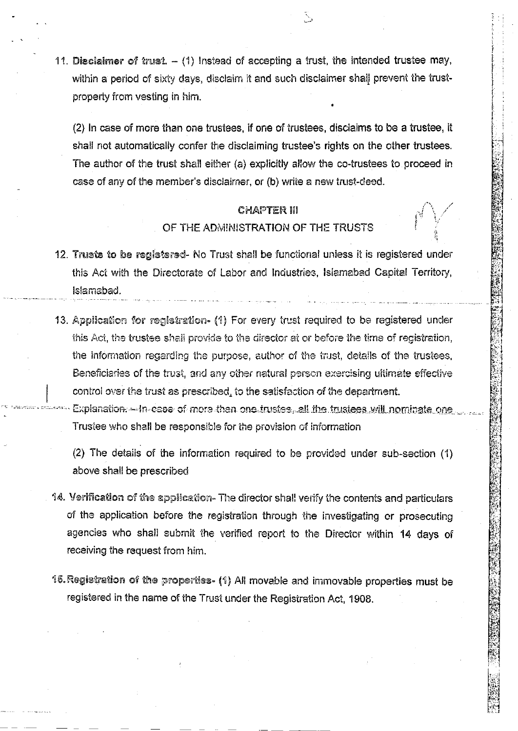11. Disclaimer of trust,  $-$  (1) Instead of accepting a trust, the intended trustee may, within a period of sixty days, disclaim it and such disclaimer shall prevent the trustproperty from vesting in him.

(2) In case of more than one trustees, if one of trustees, disclaims to be a trustee, it shall not automatically confer the disclaiming trustee's rights on the other trustees. The author of the trust shall either (a) explicitly allow the co-trustees to proceed in case of any of the member's disclaimer, or (b) write a new trust-deed.

# **CHAPTER III** OF THE ADMINISTRATION OF THE TRUSTS

- 12. Trusts to be registered- No Trust shall be functional unless it is registered under this Act with the Directorate of Labor and Industries, Islamabad Capital Territory, Islamabad.
- 13. Application for registration- (1) For every trust required to be registered under this Act, the trustee shall provide to the director at or before the time of registration, the information regarding the purpose, author of the trust, details of the trustees, Beneficiaries of the trust, and any other natural person exercising ultimate effective control over the trust as prescribed, to the satisfaction of the department.

Explanation.—In-case of more than one trustes, all the trustees will nominate one Trustee who shall be responsible for the provision of information

(2) The details of the information required to be provided under sub-section (1) above shall be prescribed

- 14. Verification of the application- The director shall verify the contents and particulars of the application before the registration through the investigating or prosecuting agencies who shall submit the verified report to the Director within 14 days of receiving the request from him.
- 15. Registration of the properties- (1) All movable and immovable properties must be registered in the name of the Trust under the Registration Act, 1908.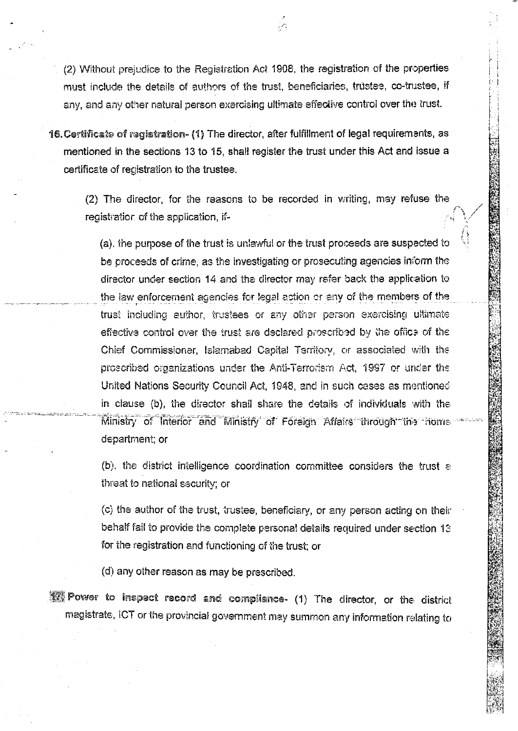(2) Without prejudice to the Registration Act 1908, the registration of the properties must include the details of authors of the trust, beneficiaries, trustee, co-trustee, if any, and any other natural person exercising ultimate effective control over the trust.

16. Certificate of registration- (1) The director, after fulfillment of legal requirements, as mentioned in the sections 13 to 15, shall register the trust under this Act and issue a certificate of registration to the trustee.

(2) The director, for the reasons to be recorded in writing, may refuse the registration of the application, if-

(a), the purpose of the trust is unlawful or the trust proceeds are suspected to be proceeds of crime, as the investigating or prosecuting agencies inform the director under section 14 and the director may refer back the application to the law enforcement agencies for legal action or any of the members of the trust including author, trustees or any other person exercising ultimate effective control over the trust are declared proscribed by the office of the Chief Commissioner, Islamabad Capital Territory, or associated with the proscribed organizations under the Anti-Terrorism Act, 1997 or under the United Nations Security Council Act, 1948, and in such cases as mentioned in clause (b), the director shall share the details of individuals with the Ministry of Interior and Ministry of Foreign Affairs through the nome department; or

(b), the district intelligence coordination committee considers the trust a threat to national security; or

(c) the author of the trust, trustee, beneficiary, or any person acting on their behalf fail to provide the complete personal details required under section 13 for the registration and functioning of the trust; or

(d) any other reason as may be prescribed.

17 Power to inspect record and compliance- (1) The director, or the district magistrate, ICT or the provincial government may summon any information relating to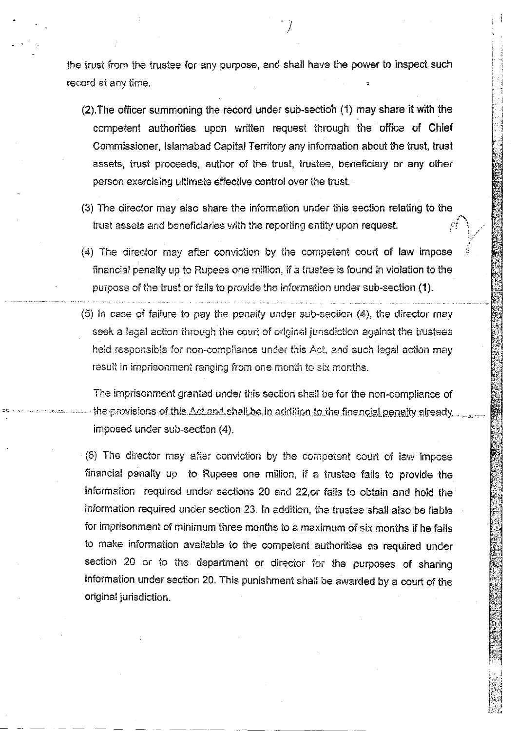the trust from the trustee for any purpose, and shall have the power to inspect such record at any time.

- (2). The officer summoning the record under sub-section (1) may share it with the competent authorities upon written request through the office of Chief Commissioner, Islamabad Capital Territory any information about the trust, trust assets, trust proceeds, author of the trust, trustee, beneficiary or any other person exercising ultimate effective control over the trust.
- (3) The director may also share the information under this section relating to the trust assets and beneficiaries with the reporting entity upon request.
- (4) The director may after conviction by the competent court of law impose financial penalty up to Rupees one million, if a trustee is found in violation to the purpose of the trust or fails to provide the information under sub-section (1).
- (5) in case of failure to pay the penalty under sub-section (4), the director may seek a legal action through the court of original jurisdiction against the trustees held responsible for non-compliance under this Act, and such legal action may result in imprisonment ranging from one month to six months.

The imprisonment granted under this section shall be for the non-compliance of the provisions of this Act and shall be in addition to the financial penalty aiready imposed under sub-section (4).

(6) The director may after conviction by the competent court of law impose financial penalty up to Rupees one million, if a trustee fails to provide the information required under sections 20 and 22,or fails to obtain and hold the information required under section 23. In addition, the trustee shall also be liable for imprisonment of minimum three months to a maximum of six months if he fails to make information available to the competent authorities as required under section 20 or to the department or director for the purposes of sharing information under section 20. This punishment shall be awarded by a court of the original jurisdiction.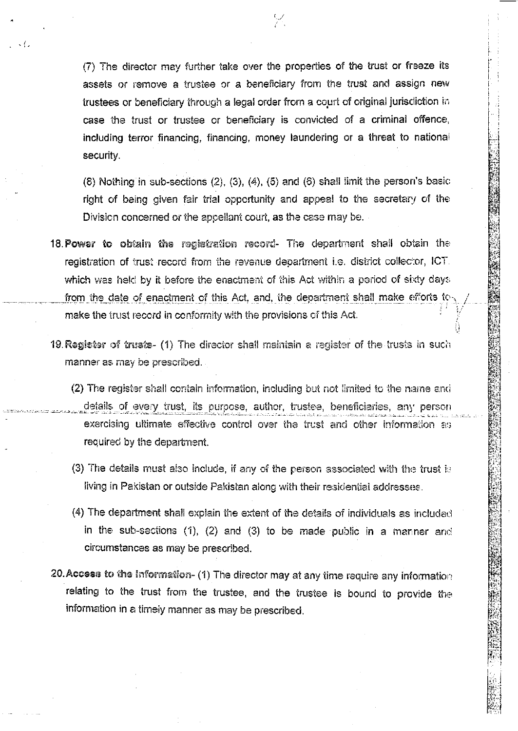(7) The director may further take over the properties of the trust or freeze its assets or remove a trustee or a beneficiary from the trust and assign new trustees or beneficiary through a legal order from a court of original juriscliction in case the trust or trustee or beneficiary is convicted of a criminal offence, including terror financing, financing, money laundering or a threat to national security.

 $\sqrt{ }$ 

 $(8)$  Nothing in sub-sections  $(2)$ ,  $(3)$ ,  $(4)$ ,  $(5)$  and  $(6)$  shall limit the person's basic right of being given fair trial opportunity and appeal to the secretary of the Division concerned or the appellant court, as the case may be.

- 18. Power to obtain the registration record- The department shall obtain the registration of trust record from the revenue department i.e. district collector, ICT. which was held by it before the enactment of this Act within a period of sixty days from the date of enactment of this Act, and, the department shall make efforts to make the trust record in conformity with the provisions of this Act.
- 19. Register of trusts- (1) The director shall maintain a register of the trusts in such manner as may be prescribed.
	- (2) The register shall contain information, including but not limited to the name and details of every trust, its purpose, author, trustee, beneficiaries, any person exercising ultimate effective control over the trust and other information as required by the department.
	- (3) The details must also include, if any of the person associated with the trust is living in Pakistan or outside Pakistan along with their residential addresses.
	- (4) The department shall explain the extent of the details of individuals as included in the sub-sections  $(1)$ ,  $(2)$  and  $(3)$  to be made public in a manner and circumstances as may be prescribed.
- 20. Access to the information- (1) The director may at any time require any information relating to the trust from the trustee, and the trustee is bound to provide the information in a timely manner as may be prescribed.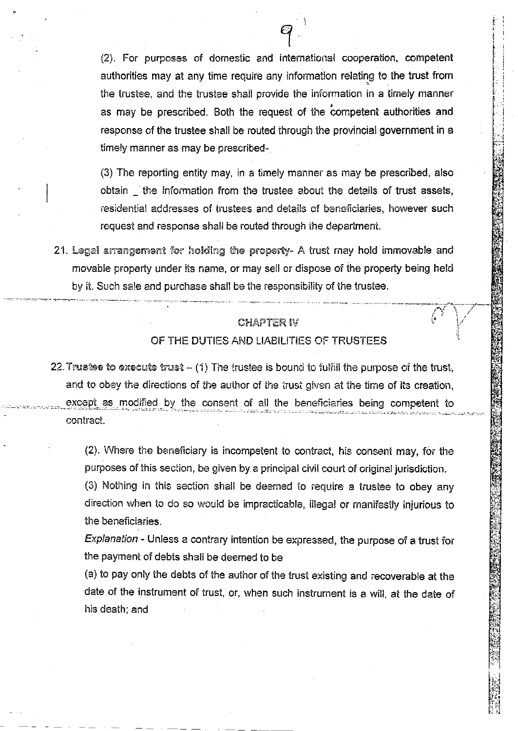(2). For purposes of domestic and international cooperation, competent authorities may at any time require any information relating to the trust from the trustee, and the trustee shall provide the information in a timely manner as may be prescribed. Both the request of the competent authorities and response of the trustee shall be routed through the provincial government in a timely manner as may be prescribed-

(3) The reporting entity may, in a timely manner as may be prescribed, also obtain the information from the trustee about the details of trust assets, residential addresses of trustees and details of beneficiaries, however such request and response shall be routed through the department.

21. Legal arrangement for holding the property- A trust may hold immovable and movable property under its name, or may sell or dispose of the property being held by it. Such sale and purchase shall be the responsibility of the trustee.

# **CHAPTER IV**

# OF THE DUTIES AND LIABILITIES OF TRUSTEES

22. Trustee to execute trust  $-$  (1) The trustee is bound to fulfill the purpose of the trust, and to obey the directions of the author of the trust given at the time of its creation, except as modified by the consent of all the beneficiaries being competent to contract.

(2). Where the beneficiary is incompetent to contract, his consent may, for the purposes of this section, be given by a principal civil court of original jurisdiction.

(3) Nothing in this section shall be deemed to require a trustee to obey any direction when to do so would be impracticable, illegal or manifestly injurious to the beneficiaries.

Explanation - Unless a contrary intention be expressed, the purpose of a trust for the payment of debts shall be deemed to be

(a) to pay only the debts of the author of the trust existing and recoverable at the date of the instrument of trust, or, when such instrument is a will, at the date of his death; and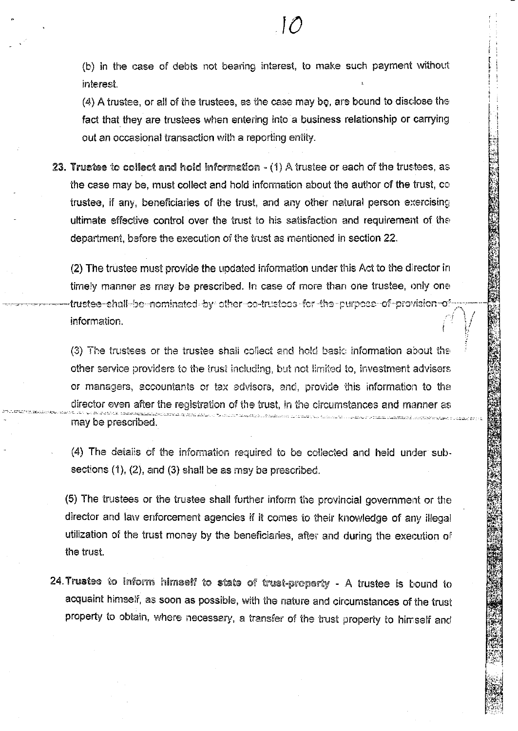(4) A trustee, or all of the trustees, as the case may be, are bound to disclose the fact that they are trustees when entering into a business relationship or carrying out an occasional transaction with a reporting entity.

23. Trustee to collect and hold information  $-$  (1) A trustee or each of the trustees, as the case may be, must collect and hold information about the author of the trust, co trustee, if any, beneficiaries of the trust, and any other natural person exercising ultimate effective control over the trust to his satisfaction and requirement of the department, before the execution of the trust as mentioned in section 22.

(2) The trustee must provide the updated information under this Act to the director in timely manner as may be prescribed. In case of more than one trustee, only one frustee-shall-be-nominated-by-other-co-trustees-for-the-purpose-of-provision-ofinformation.

(3) The trustees or the trustee shall collect and hold basic information about the other service providers to the trust including, but not limited to, investment advisers or managers, accountants or tax advisors, and, provide this information to the director even after the registration of the trust, in the circumstances and manner as may be prescribed.

(4) The details of the information required to be collected and held under subsections  $(1)$ ,  $(2)$ , and  $(3)$  shall be as may be prescribed.

(5) The trustees or the trustee shall further inform the provincial government or the director and law enforcement agencies if it comes to their knowledge of any illegal utilization of the trust money by the beneficiaries, after and during the execution of the trust.

24. Trustee to inform himself to state of trust-property - A trustee is bound to acquaint himself, as soon as possible, with the nature and circumstances of the trust property to obtain, where necessary, a transfer of the trust property to himself and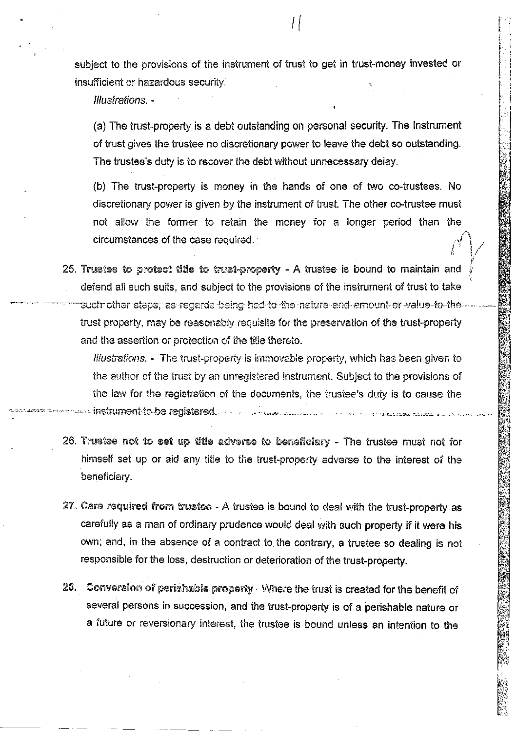subject to the provisions of the instrument of trust to get in trust-money invested or insufficient or hazardous security.

Illustrations. -

(a) The trust-property is a debt outstanding on personal security. The Instrument of trust gives the trustee no discretionary power to leave the debt so outstanding. The trustee's duty is to recover the debt without unnecessary delay.

(b) The trust-property is money in the hands of one of two co-trustees. No discretionary power is given by the instrument of trust. The other co-trustee must not allow the former to retain the money for a longer period than the circumstances of the case required.

25. Trustee to protect title to trust-property - A trustee is bound to maintain and defend all such suits, and subject to the provisions of the instrument of trust to take such other steps, as regards being had to the nature and emount or value to the trust property, may be reasonably requisite for the preservation of the trust-property and the assertion or protection of the title thereto.

Illustrations. - The trust-property is immovable property, which has been given to the author of the trust by an unregistered instrument. Subject to the provisions of the law for the registration of the documents, the trustee's duty is to cause the instrument to be registered and an anticommunication are compared to the

- 26. Trustee not to set up title adverse to beneficiary The trustee must not for himself set up or aid any title to the trust-property adverse to the interest of the beneficiary.
- 27. Care required from trustee A trustee is bound to deal with the trust-property as carefully as a man of ordinary prudence would deal with such property if it were his own; and, in the absence of a contract to the contrary, a trustee so dealing is not responsible for the loss, destruction or deterioration of the trust-property.
- 28. Conversion of perishable property Where the trust is created for the benefit of several persons in succession, and the trust-property is of a perishable nature or a future or reversionary interest, the trustee is bound unless an intention to the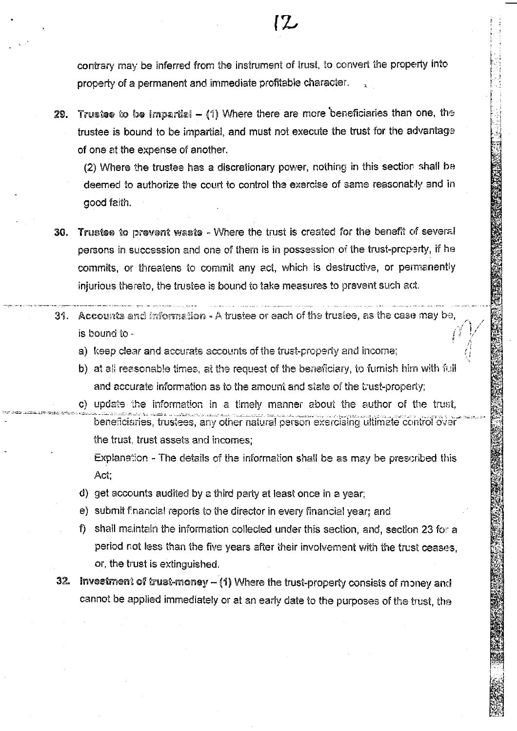contrary may be inferred from the instrument of trust, to convert the property into property of a permanent and immediate profitable character.

**12** 

Trustee to be impartial  $-$  (1) Where there are more beneficiaries than one, the 29. trustee is bound to be impartial, and must not execute the trust for the advantage of one at the expense of another.

(2) Where the trustee has a discretionary power, nothing in this section shall be deemed to authorize the court to control the exercise of same reasonably and in good faith.

- 30. Trustee to prevent waste Where the trust is created for the benefit of several persons in succession and one of them is in possession of the trust-property, if he commits, or threatens to commit any act, which is destructive, or permanently injurious thereto, the trustee is bound to take measures to prevent such act.
- 31. Accounts and information A trustee or each of the trustee, as the case may be, is bound to
	- a) keep clear and accurate accounts of the trust-property and income;
	- b) at all reasonable times, at the request of the beneficiary, to furnish him with full and accurate information as to the amount and state of the trust-property;
	- c) update the information in a timely manner about the author of the trust, beneficiaries, trustees, any other natural person exercising ultimate control over the trust, trust assets and incomes;
		- Explanation The details of the information shall be as may be prescribed this Act:
	- d) get accounts audited by a third party at least once in a year;
	- e) submit financial reports to the director in every financial year; and
	- f) shall maintain the information collected under this section, and, section 23 for a period not less than the five years after their involvement with the trust ceases. or, the trust is extinguished.
	- 32. Investment of trust-money (1) Where the trust-property consists of money and cannot be applied immediately or at an early date to the purposes of the trust, the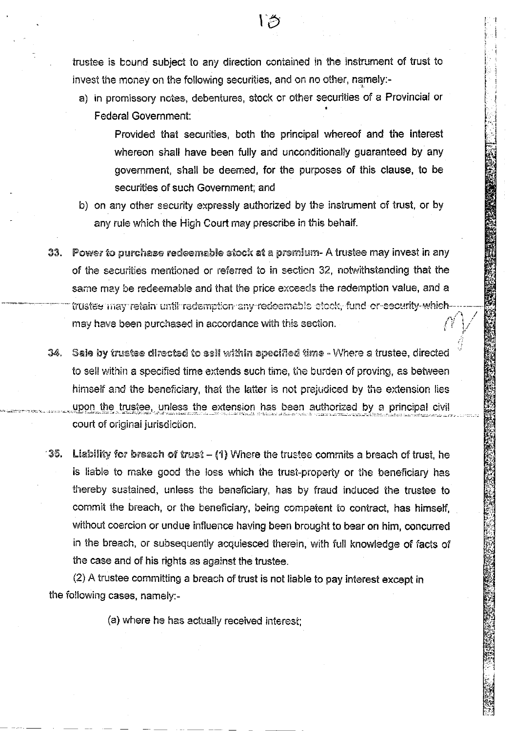trustee is bound subject to any direction contained in the instrument of trust to invest the money on the following securities, and on no other, namely:-

- a) in promissory notes, debentures, stock or other securities of a Provincial or Federal Government:
	- Provided that securities, both the principal whereof and the interest whereon shall have been fully and unconditionally guaranteed by any government, shall be deemed, for the purposes of this clause, to be securities of such Government; and
- b) on any other security expressly authorized by the instrument of trust, or by any rule which the High Court may prescribe in this behalf.
- 33. Power to purchase redeemable stock at a premium- A trustee may invest in any of the securities mentioned or referred to in section 32, notwithstanding that the same may be redeemable and that the price exceeds the redemption value, and a trustee may retain until redemption any redeemable eteck, fund or security which may have been purchased in accordance with this section.
- 34. Sale by trustee directed to sell within specified time Where a trustee, directed to sell within a specified time extends such time, the burden of proving, as between himself and the beneficiary, that the latter is not prejudiced by the extension lies upon the trustee, unless the extension has been authorized by a principal civil court of original jurisdiction.
- 35. Liability for breach of trust (1) Where the trustee commits a breach of trust, he is liable to make good the loss which the trust-property or the beneficiary has thereby sustained, unless the beneficiary, has by fraud induced the trustee to commit the breach, or the beneficiary, being competent to contract, has himself, without coercion or undue influence having been brought to bear on him, concurred in the breach, or subsequently acquiesced therein, with full knowledge of facts of the case and of his rights as against the trustee.

(2) A trustee committing a breach of trust is not liable to pay interest except in the following cases, namely:-

(a) where he has actually received interest;

13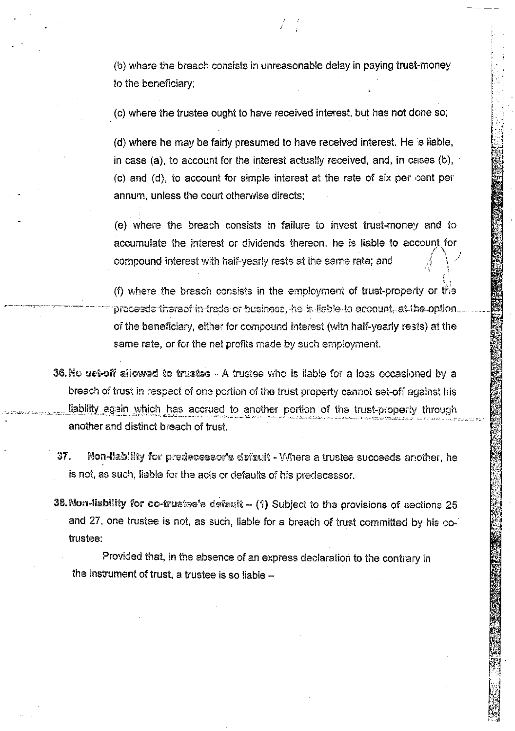(b) where the breach consists in unreasonable delay in paying trust-money to the beneficiary;

(c) where the trustee ought to have received interest, but has not done so;

(d) where he may be fairly presumed to have received interest. He is liable, in case (a), to account for the interest actually received, and, in cases (b), (c) and (d), to account for simple interest at the rate of six per cent per annum, unless the court otherwise directs;

(e) where the breach consists in failure to invest trust-money and to accumulate the interest or dividends thereon, he is liable to account for compound interest with half-yearly rests at the same rate; and

(f) where the breach consists in the employment of trust-property or the proceeds thereof in trade or business, he is liable to account, at the option. of the beneficiary, either for compound interest (with half-yearly rests) at the same rate, or for the net profits made by such employment.

- 36. No set-off allowed to trustee A trustee who is liable for a loss occasioned by a breach of trust in respect of one portion of the trust property cannot set-off against his liability egain which has accrued to another portion of the trust-property through another and distinct breach of trust.
- Non-liability for predecessor's default Where a trustee succeeds another, he 37. is not, as such, liable for the acts or defaults of his predecessor.
- 38. Non-liability for co-trustes's default (1) Subject to the provisions of sections 25 and 27, one trustee is not, as such, liable for a breach of trust committed by his cotrustee:

Provided that, in the absence of an express declaration to the contrary in the instrument of trust, a trustee is so liable -